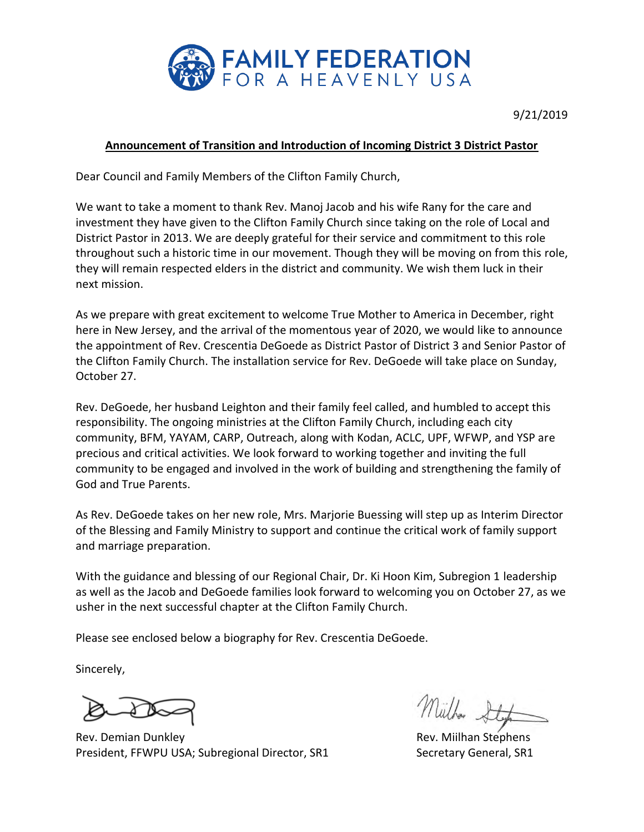

9/21/2019

## **Announcement of Transition and Introduction of Incoming District 3 District Pastor**

Dear Council and Family Members of the Clifton Family Church,

We want to take a moment to thank Rev. Manoj Jacob and his wife Rany for the care and investment they have given to the Clifton Family Church since taking on the role of Local and District Pastor in 2013. We are deeply grateful for their service and commitment to this role throughout such a historic time in our movement. Though they will be moving on from this role, they will remain respected elders in the district and community. We wish them luck in their next mission.

As we prepare with great excitement to welcome True Mother to America in December, right here in New Jersey, and the arrival of the momentous year of 2020, we would like to announce the appointment of Rev. Crescentia DeGoede as District Pastor of District 3 and Senior Pastor of the Clifton Family Church. The installation service for Rev. DeGoede will take place on Sunday, October 27.

Rev. DeGoede, her husband Leighton and their family feel called, and humbled to accept this responsibility. The ongoing ministries at the Clifton Family Church, including each city community, BFM, YAYAM, CARP, Outreach, along with Kodan, ACLC, UPF, WFWP, and YSP are precious and critical activities. We look forward to working together and inviting the full community to be engaged and involved in the work of building and strengthening the family of God and True Parents.

As Rev. DeGoede takes on her new role, Mrs. Marjorie Buessing will step up as Interim Director of the Blessing and Family Ministry to support and continue the critical work of family support and marriage preparation.

With the guidance and blessing of our Regional Chair, Dr. Ki Hoon Kim, Subregion 1 leadership as well as the Jacob and DeGoede families look forward to welcoming you on October 27, as we usher in the next successful chapter at the Clifton Family Church.

Please see enclosed below a biography for Rev. Crescentia DeGoede.

Sincerely,

Rev. Demian Dunkley **Rev. Accommon Contract Contract Contract Contract Contract Contract Contract Contract Contract Contract Contract Contract Contract Contract Contract Contract Contract Contract Contract Contract Contrac** President, FFWPU USA; Subregional Director, SR1 Secretary General, SR1

Mulhar &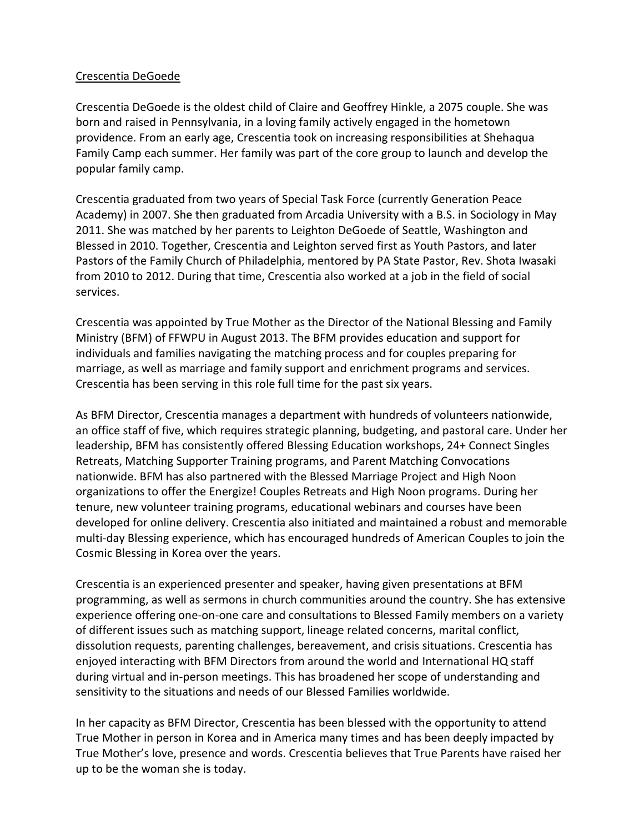## Crescentia DeGoede

Crescentia DeGoede is the oldest child of Claire and Geoffrey Hinkle, a 2075 couple. She was born and raised in Pennsylvania, in a loving family actively engaged in the hometown providence. From an early age, Crescentia took on increasing responsibilities at Shehaqua Family Camp each summer. Her family was part of the core group to launch and develop the popular family camp.

Crescentia graduated from two years of Special Task Force (currently Generation Peace Academy) in 2007. She then graduated from Arcadia University with a B.S. in Sociology in May 2011. She was matched by her parents to Leighton DeGoede of Seattle, Washington and Blessed in 2010. Together, Crescentia and Leighton served first as Youth Pastors, and later Pastors of the Family Church of Philadelphia, mentored by PA State Pastor, Rev. Shota Iwasaki from 2010 to 2012. During that time, Crescentia also worked at a job in the field of social services.

Crescentia was appointed by True Mother as the Director of the National Blessing and Family Ministry (BFM) of FFWPU in August 2013. The BFM provides education and support for individuals and families navigating the matching process and for couples preparing for marriage, as well as marriage and family support and enrichment programs and services. Crescentia has been serving in this role full time for the past six years.

As BFM Director, Crescentia manages a department with hundreds of volunteers nationwide, an office staff of five, which requires strategic planning, budgeting, and pastoral care. Under her leadership, BFM has consistently offered Blessing Education workshops, 24+ Connect Singles Retreats, Matching Supporter Training programs, and Parent Matching Convocations nationwide. BFM has also partnered with the Blessed Marriage Project and High Noon organizations to offer the Energize! Couples Retreats and High Noon programs. During her tenure, new volunteer training programs, educational webinars and courses have been developed for online delivery. Crescentia also initiated and maintained a robust and memorable multi-day Blessing experience, which has encouraged hundreds of American Couples to join the Cosmic Blessing in Korea over the years.

Crescentia is an experienced presenter and speaker, having given presentations at BFM programming, as well as sermons in church communities around the country. She has extensive experience offering one-on-one care and consultations to Blessed Family members on a variety of different issues such as matching support, lineage related concerns, marital conflict, dissolution requests, parenting challenges, bereavement, and crisis situations. Crescentia has enjoyed interacting with BFM Directors from around the world and International HQ staff during virtual and in-person meetings. This has broadened her scope of understanding and sensitivity to the situations and needs of our Blessed Families worldwide.

In her capacity as BFM Director, Crescentia has been blessed with the opportunity to attend True Mother in person in Korea and in America many times and has been deeply impacted by True Mother's love, presence and words. Crescentia believes that True Parents have raised her up to be the woman she is today.